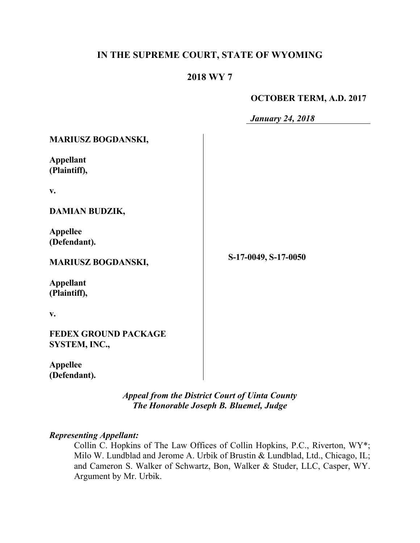# **IN THE SUPREME COURT, STATE OF WYOMING**

### **2018 WY 7**

### **OCTOBER TERM, A.D. 2017**

*January 24, 2018*

| <b>MARIUSZ BOGDANSKI,</b>                    |                      |
|----------------------------------------------|----------------------|
| <b>Appellant</b><br>(Plaintiff),             |                      |
| V.                                           |                      |
| <b>DAMIAN BUDZIK,</b>                        |                      |
| <b>Appellee</b><br>(Defendant).              |                      |
| <b>MARIUSZ BOGDANSKI,</b>                    | S-17-0049, S-17-0050 |
| <b>Appellant</b><br>(Plaintiff),             |                      |
| v.                                           |                      |
| <b>FEDEX GROUND PACKAGE</b><br>SYSTEM, INC., |                      |
| <b>Appellee</b><br>(Defendant).              |                      |

*Appeal from the District Court of Uinta County The Honorable Joseph B. Bluemel, Judge*

# *Representing Appellant:*

Collin C. Hopkins of The Law Offices of Collin Hopkins, P.C., Riverton, WY\*; Milo W. Lundblad and Jerome A. Urbik of Brustin & Lundblad, Ltd., Chicago, IL; and Cameron S. Walker of Schwartz, Bon, Walker & Studer, LLC, Casper, WY. Argument by Mr. Urbik.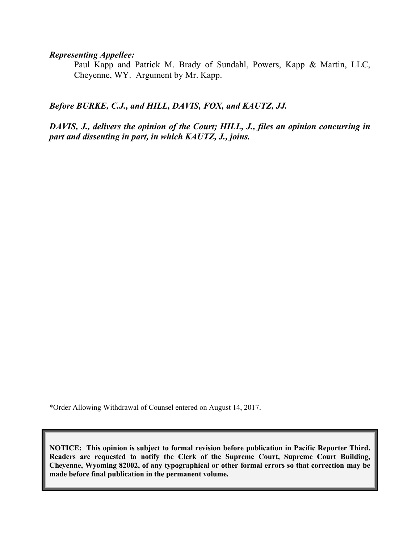*Representing Appellee:*

Paul Kapp and Patrick M. Brady of Sundahl, Powers, Kapp & Martin, LLC, Cheyenne, WY. Argument by Mr. Kapp.

*Before BURKE, C.J., and HILL, DAVIS, FOX, and KAUTZ, JJ.*

*DAVIS, J., delivers the opinion of the Court; HILL, J., files an opinion concurring in part and dissenting in part, in which KAUTZ, J., joins.* 

\*Order Allowing Withdrawal of Counsel entered on August 14, 2017.

**NOTICE: This opinion is subject to formal revision before publication in Pacific Reporter Third. Readers are requested to notify the Clerk of the Supreme Court, Supreme Court Building, Cheyenne, Wyoming 82002, of any typographical or other formal errors so that correction may be made before final publication in the permanent volume.**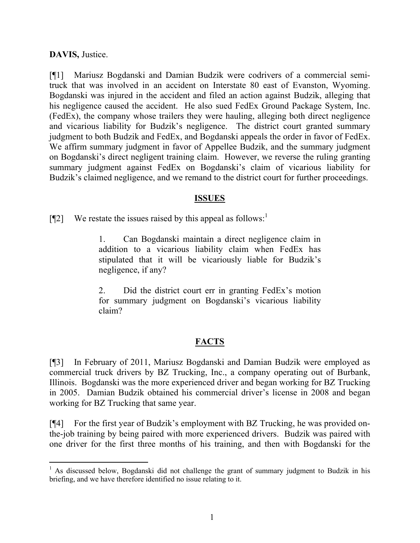**DAVIS,** Justice.

l

[¶1] Mariusz Bogdanski and Damian Budzik were codrivers of a commercial semitruck that was involved in an accident on Interstate 80 east of Evanston, Wyoming. Bogdanski was injured in the accident and filed an action against Budzik, alleging that his negligence caused the accident. He also sued FedEx Ground Package System, Inc. (FedEx), the company whose trailers they were hauling, alleging both direct negligence and vicarious liability for Budzik's negligence. The district court granted summary judgment to both Budzik and FedEx, and Bogdanski appeals the order in favor of FedEx. We affirm summary judgment in favor of Appellee Budzik, and the summary judgment on Bogdanski's direct negligent training claim. However, we reverse the ruling granting summary judgment against FedEx on Bogdanski's claim of vicarious liability for Budzik's claimed negligence, and we remand to the district court for further proceedings.

### **ISSUES**

 $[\P2]$  We restate the issues raised by this appeal as follows:

1. Can Bogdanski maintain a direct negligence claim in addition to a vicarious liability claim when FedEx has stipulated that it will be vicariously liable for Budzik's negligence, if any?

2. Did the district court err in granting FedEx's motion for summary judgment on Bogdanski's vicarious liability claim?

# **FACTS**

[¶3] In February of 2011, Mariusz Bogdanski and Damian Budzik were employed as commercial truck drivers by BZ Trucking, Inc., a company operating out of Burbank, Illinois. Bogdanski was the more experienced driver and began working for BZ Trucking in 2005. Damian Budzik obtained his commercial driver's license in 2008 and began working for BZ Trucking that same year.

[¶4] For the first year of Budzik's employment with BZ Trucking, he was provided onthe-job training by being paired with more experienced drivers. Budzik was paired with one driver for the first three months of his training, and then with Bogdanski for the

<sup>&</sup>lt;sup>1</sup> As discussed below, Bogdanski did not challenge the grant of summary judgment to Budzik in his briefing, and we have therefore identified no issue relating to it.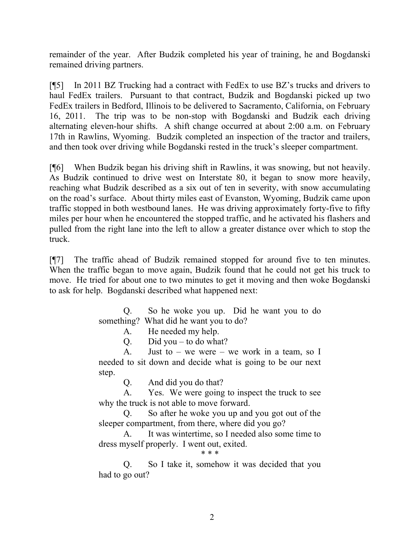remainder of the year. After Budzik completed his year of training, he and Bogdanski remained driving partners.

[¶5] In 2011 BZ Trucking had a contract with FedEx to use BZ's trucks and drivers to haul FedEx trailers. Pursuant to that contract, Budzik and Bogdanski picked up two FedEx trailers in Bedford, Illinois to be delivered to Sacramento, California, on February 16, 2011. The trip was to be non-stop with Bogdanski and Budzik each driving alternating eleven-hour shifts. A shift change occurred at about 2:00 a.m. on February 17th in Rawlins, Wyoming. Budzik completed an inspection of the tractor and trailers, and then took over driving while Bogdanski rested in the truck's sleeper compartment.

[¶6] When Budzik began his driving shift in Rawlins, it was snowing, but not heavily. As Budzik continued to drive west on Interstate 80, it began to snow more heavily, reaching what Budzik described as a six out of ten in severity, with snow accumulating on the road's surface. About thirty miles east of Evanston, Wyoming, Budzik came upon traffic stopped in both westbound lanes. He was driving approximately forty-five to fifty miles per hour when he encountered the stopped traffic, and he activated his flashers and pulled from the right lane into the left to allow a greater distance over which to stop the truck.

[¶7] The traffic ahead of Budzik remained stopped for around five to ten minutes. When the traffic began to move again, Budzik found that he could not get his truck to move. He tried for about one to two minutes to get it moving and then woke Bogdanski to ask for help. Bogdanski described what happened next:

> Q. So he woke you up. Did he want you to do something? What did he want you to do?

> > A. He needed my help.

Q. Did you – to do what?

A. Just to – we were – we work in a team, so I needed to sit down and decide what is going to be our next step.

Q. And did you do that?

A. Yes. We were going to inspect the truck to see why the truck is not able to move forward.

Q. So after he woke you up and you got out of the sleeper compartment, from there, where did you go?

A. It was wintertime, so I needed also some time to dress myself properly. I went out, exited.

\* \* \*

Q. So I take it, somehow it was decided that you had to go out?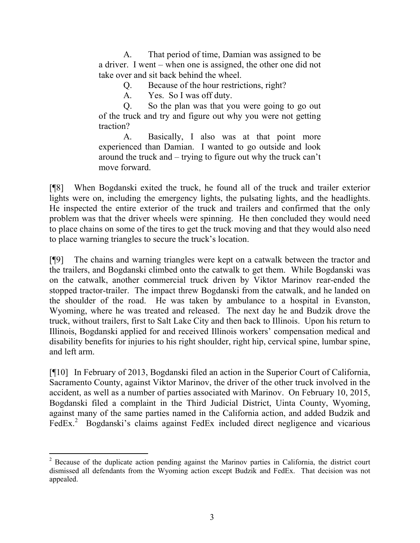A. That period of time, Damian was assigned to be a driver. I went – when one is assigned, the other one did not take over and sit back behind the wheel.

Q. Because of the hour restrictions, right?

A. Yes. So I was off duty.

Q. So the plan was that you were going to go out of the truck and try and figure out why you were not getting traction?

A. Basically, I also was at that point more experienced than Damian. I wanted to go outside and look around the truck and – trying to figure out why the truck can't move forward.

[¶8] When Bogdanski exited the truck, he found all of the truck and trailer exterior lights were on, including the emergency lights, the pulsating lights, and the headlights. He inspected the entire exterior of the truck and trailers and confirmed that the only problem was that the driver wheels were spinning. He then concluded they would need to place chains on some of the tires to get the truck moving and that they would also need to place warning triangles to secure the truck's location.

[¶9] The chains and warning triangles were kept on a catwalk between the tractor and the trailers, and Bogdanski climbed onto the catwalk to get them. While Bogdanski was on the catwalk, another commercial truck driven by Viktor Marinov rear-ended the stopped tractor-trailer. The impact threw Bogdanski from the catwalk, and he landed on the shoulder of the road. He was taken by ambulance to a hospital in Evanston, Wyoming, where he was treated and released. The next day he and Budzik drove the truck, without trailers, first to Salt Lake City and then back to Illinois. Upon his return to Illinois, Bogdanski applied for and received Illinois workers' compensation medical and disability benefits for injuries to his right shoulder, right hip, cervical spine, lumbar spine, and left arm.

[¶10] In February of 2013, Bogdanski filed an action in the Superior Court of California, Sacramento County, against Viktor Marinov, the driver of the other truck involved in the accident, as well as a number of parties associated with Marinov. On February 10, 2015, Bogdanski filed a complaint in the Third Judicial District, Uinta County, Wyoming, against many of the same parties named in the California action, and added Budzik and FedEx.<sup>2</sup> Bogdanski's claims against FedEx included direct negligence and vicarious

 $\overline{a}$  $2^2$  Because of the duplicate action pending against the Marinov parties in California, the district court dismissed all defendants from the Wyoming action except Budzik and FedEx. That decision was not appealed.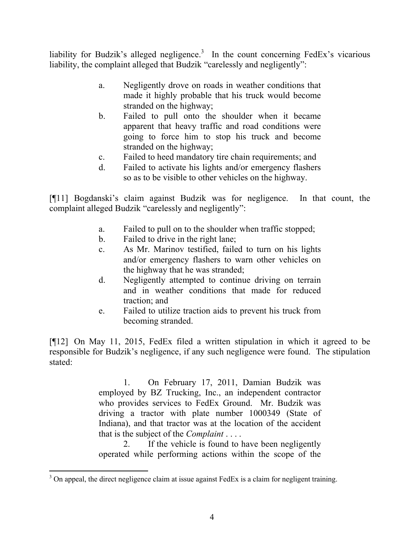liability for Budzik's alleged negligence.<sup>3</sup> In the count concerning FedEx's vicarious liability, the complaint alleged that Budzik "carelessly and negligently":

- a. Negligently drove on roads in weather conditions that made it highly probable that his truck would become stranded on the highway;
- b. Failed to pull onto the shoulder when it became apparent that heavy traffic and road conditions were going to force him to stop his truck and become stranded on the highway;
- c. Failed to heed mandatory tire chain requirements; and
- d. Failed to activate his lights and/or emergency flashers so as to be visible to other vehicles on the highway.

[¶11] Bogdanski's claim against Budzik was for negligence. In that count, the complaint alleged Budzik "carelessly and negligently":

- a. Failed to pull on to the shoulder when traffic stopped;
- b. Failed to drive in the right lane;
- c. As Mr. Marinov testified, failed to turn on his lights and/or emergency flashers to warn other vehicles on the highway that he was stranded;
- d. Negligently attempted to continue driving on terrain and in weather conditions that made for reduced traction; and
- e. Failed to utilize traction aids to prevent his truck from becoming stranded.

[¶12] On May 11, 2015, FedEx filed a written stipulation in which it agreed to be responsible for Budzik's negligence, if any such negligence were found. The stipulation stated:

> 1. On February 17, 2011, Damian Budzik was employed by BZ Trucking, Inc., an independent contractor who provides services to FedEx Ground. Mr. Budzik was driving a tractor with plate number 1000349 (State of Indiana), and that tractor was at the location of the accident that is the subject of the *Complaint* . . . .

> 2. If the vehicle is found to have been negligently operated while performing actions within the scope of the

 $3$  On appeal, the direct negligence claim at issue against FedEx is a claim for negligent training.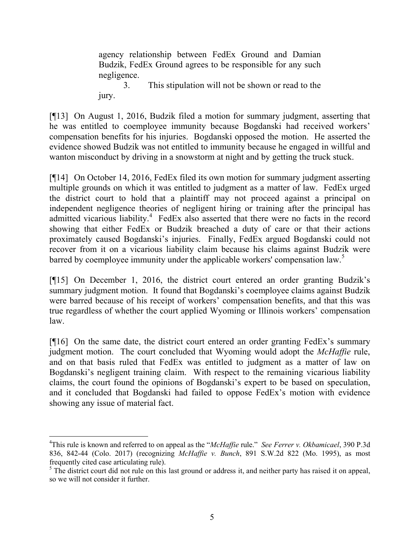agency relationship between FedEx Ground and Damian Budzik, FedEx Ground agrees to be responsible for any such negligence.

3. This stipulation will not be shown or read to the jury.

[¶13] On August 1, 2016, Budzik filed a motion for summary judgment, asserting that he was entitled to coemployee immunity because Bogdanski had received workers' compensation benefits for his injuries. Bogdanski opposed the motion. He asserted the evidence showed Budzik was not entitled to immunity because he engaged in willful and wanton misconduct by driving in a snowstorm at night and by getting the truck stuck.

[¶14] On October 14, 2016, FedEx filed its own motion for summary judgment asserting multiple grounds on which it was entitled to judgment as a matter of law. FedEx urged the district court to hold that a plaintiff may not proceed against a principal on independent negligence theories of negligent hiring or training after the principal has admitted vicarious liability.<sup>4</sup> FedEx also asserted that there were no facts in the record showing that either FedEx or Budzik breached a duty of care or that their actions proximately caused Bogdanski's injuries. Finally, FedEx argued Bogdanski could not recover from it on a vicarious liability claim because his claims against Budzik were barred by coemployee immunity under the applicable workers' compensation law.<sup>5</sup>

[¶15] On December 1, 2016, the district court entered an order granting Budzik's summary judgment motion. It found that Bogdanski's coemployee claims against Budzik were barred because of his receipt of workers' compensation benefits, and that this was true regardless of whether the court applied Wyoming or Illinois workers' compensation law.

[¶16] On the same date, the district court entered an order granting FedEx's summary judgment motion. The court concluded that Wyoming would adopt the *McHaffie* rule, and on that basis ruled that FedEx was entitled to judgment as a matter of law on Bogdanski's negligent training claim. With respect to the remaining vicarious liability claims, the court found the opinions of Bogdanski's expert to be based on speculation, and it concluded that Bogdanski had failed to oppose FedEx's motion with evidence showing any issue of material fact.

<sup>4</sup>This rule is known and referred to on appeal as the "*McHaffie* rule." *See Ferrer v. Okbamicael*, 390 P.3d 836, 842-44 (Colo. 2017) (recognizing *McHaffie v. Bunch*, 891 S.W.2d 822 (Mo. 1995), as most frequently cited case articulating rule).

<sup>&</sup>lt;sup>5</sup> The district court did not rule on this last ground or address it, and neither party has raised it on appeal, so we will not consider it further.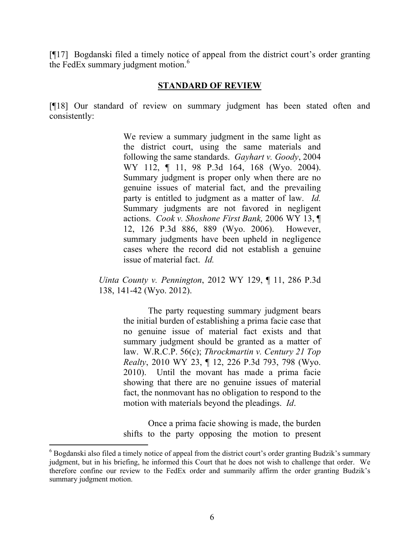[¶17] Bogdanski filed a timely notice of appeal from the district court's order granting the FedEx summary judgment motion.<sup>6</sup>

### **STANDARD OF REVIEW**

[¶18] Our standard of review on summary judgment has been stated often and consistently:

> We review a summary judgment in the same light as the district court, using the same materials and following the same standards. *Gayhart v. Goody*, 2004 WY 112, ¶ 11, 98 P.3d 164, 168 (Wyo. 2004). Summary judgment is proper only when there are no genuine issues of material fact, and the prevailing party is entitled to judgment as a matter of law. *Id.* Summary judgments are not favored in negligent actions. *Cook v. Shoshone First Bank,* 2006 WY 13, ¶ 12, 126 P.3d 886, 889 (Wyo. 2006). However, summary judgments have been upheld in negligence cases where the record did not establish a genuine issue of material fact. *Id.*

*Uinta County v. Pennington*, 2012 WY 129, ¶ 11, 286 P.3d 138, 141-42 (Wyo. 2012).

> The party requesting summary judgment bears the initial burden of establishing a prima facie case that no genuine issue of material fact exists and that summary judgment should be granted as a matter of law. W.R.C.P. 56(c); *Throckmartin v. Century 21 Top Realty*, 2010 WY 23, ¶ 12, 226 P.3d 793, 798 (Wyo. 2010). Until the movant has made a prima facie showing that there are no genuine issues of material fact, the nonmovant has no obligation to respond to the motion with materials beyond the pleadings. *Id*.

> Once a prima facie showing is made, the burden shifts to the party opposing the motion to present

 $\overline{a}$ 

 $6$  Bogdanski also filed a timely notice of appeal from the district court's order granting Budzik's summary judgment, but in his briefing, he informed this Court that he does not wish to challenge that order. We therefore confine our review to the FedEx order and summarily affirm the order granting Budzik's summary judgment motion.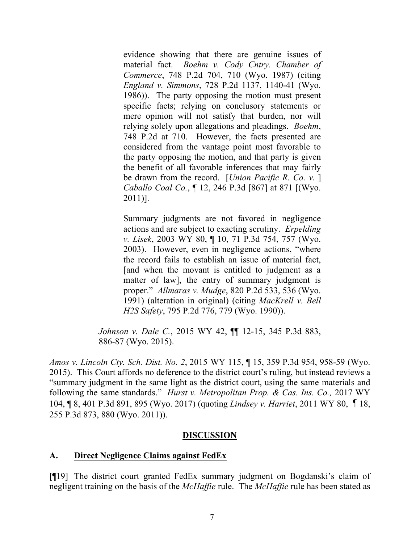evidence showing that there are genuine issues of material fact. *Boehm v. Cody Cntry. Chamber of Commerce*, 748 P.2d 704, 710 (Wyo. 1987) (citing *England v. Simmons*, 728 P.2d 1137, 1140-41 (Wyo. 1986)). The party opposing the motion must present specific facts; relying on conclusory statements or mere opinion will not satisfy that burden, nor will relying solely upon allegations and pleadings. *Boehm*, 748 P.2d at 710. However, the facts presented are considered from the vantage point most favorable to the party opposing the motion, and that party is given the benefit of all favorable inferences that may fairly be drawn from the record. [*Union Pacific R. Co. v.* ] *Caballo Coal Co.*, ¶ 12, 246 P.3d [867] at 871 [(Wyo. 2011)].

Summary judgments are not favored in negligence actions and are subject to exacting scrutiny. *Erpelding v. Lisek*, 2003 WY 80, ¶ 10, 71 P.3d 754, 757 (Wyo. 2003). However, even in negligence actions, "where the record fails to establish an issue of material fact, [and when the movant is entitled to judgment as a matter of law], the entry of summary judgment is proper." *Allmaras v. Mudge*, 820 P.2d 533, 536 (Wyo. 1991) (alteration in original) (citing *MacKrell v. Bell H2S Safety*, 795 P.2d 776, 779 (Wyo. 1990)).

*Johnson v. Dale C.*, 2015 WY 42, ¶¶ 12-15, 345 P.3d 883, 886-87 (Wyo. 2015).

*Amos v. Lincoln Cty. Sch. Dist. No. 2*, 2015 WY 115, ¶ 15, 359 P.3d 954, 958-59 (Wyo. 2015). This Court affords no deference to the district court's ruling, but instead reviews a "summary judgment in the same light as the district court, using the same materials and following the same standards." *Hurst v. Metropolitan Prop. & Cas. Ins. Co.,* 2017 WY 104, ¶ 8, 401 P.3d 891, 895 (Wyo. 2017) (quoting *Lindsey v. Harriet*, 2011 WY 80, ¶18, 255 P.3d 873, 880 (Wyo. 2011)).

#### **DISCUSSION**

#### **A. Direct Negligence Claims against FedEx**

[¶19] The district court granted FedEx summary judgment on Bogdanski's claim of negligent training on the basis of the *McHaffie* rule. The *McHaffie* rule has been stated as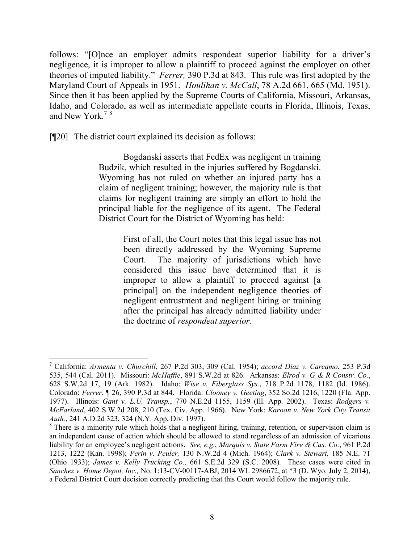follows: "[O]nce an employer admits respondeat superior liability for a driver's negligence, it is improper to allow a plaintiff to proceed against the employer on other theories of imputed liability." *Ferrer,* 390 P.3d at 843. This rule was first adopted by the Maryland Court of Appeals in 1951. *Houlihan v. McCall*, 78 A.2d 661, 665 (Md. 1951). Since then it has been applied by the Supreme Courts of California, Missouri, Arkansas, Idaho, and Colorado, as well as intermediate appellate courts in Florida, Illinois, Texas, and New York  $78$ 

[¶20] The district court explained its decision as follows:

l

Bogdanski asserts that FedEx was negligent in training Budzik, which resulted in the injuries suffered by Bogdanski. Wyoming has not ruled on whether an injured party has a claim of negligent training; however, the majority rule is that claims for negligent training are simply an effort to hold the principal liable for the negligence of its agent. The Federal District Court for the District of Wyoming has held:

> First of all, the Court notes that this legal issue has not been directly addressed by the Wyoming Supreme Court. The majority of jurisdictions which have considered this issue have determined that it is improper to allow a plaintiff to proceed against [a] principal] on the independent negligence theories of negligent entrustment and negligent hiring or training after the principal has already admitted liability under the doctrine of *respondeat superior*.

<sup>7</sup> California: *Armenta v. Churchill*, 267 P.2d 303, 309 (Cal. 1954); *accord Diaz v. Carcamo*, 253 P.3d 535, 544 (Cal. 2011). Missouri: *McHaffie*, 891 S.W.2d at 826. Arkansas: *Elrod v. G & R Constr. Co.*, 628 S.W.2d 17, 19 (Ark. 1982). Idaho: *Wise v. Fiberglass Sys.*, 718 P.2d 1178, 1182 (Id. 1986). Colorado: *Ferrer*, ¶ 26, 390 P.3d at 844. Florida: *Clooney v. Geeting*, 352 So.2d 1216, 1220 (Fla. App. 1977). Illinois: *Gant v. L.U. Transp.*, 770 N.E.2d 1155, 1159 (Ill. App. 2002). Texas: *Rodgers v. McFarland*, 402 S.W.2d 208, 210 (Tex. Civ. App. 1966). New York: *Karoon v. New York City Transit Auth.*, 241 A.D.2d 323, 324 (N.Y. App. Div. 1997).

<sup>&</sup>lt;sup>8</sup> There is a minority rule which holds that a negligent hiring, training, retention, or supervision claim is an independent cause of action which should be allowed to stand regardless of an admission of vicarious liability for an employee's negligent actions. *See, e.g*., *Marquis v. State Farm Fire & Cas. Co.*, 961 P.2d 1213, 1222 (Kan. 1998); *Perin v. Peuler,* 130 N.W.2d 4 (Mich. 1964); *Clark v. Stewart,* 185 N.E. 71 (Ohio 1933); *James v. Kelly Trucking Co.,* 661 S.E.2d 329 (S.C. 2008). These cases were cited in *Sanchez v. Home Depot, Inc.,* No. 1:13-CV-00117-ABJ, 2014 WL 2986672, at \*3 (D. Wyo. July 2, 2014), a Federal District Court decision correctly predicting that this Court would follow the majority rule.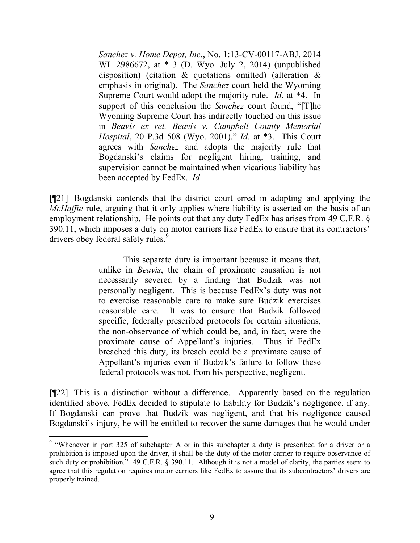*Sanchez v. Home Depot, Inc.*, No. 1:13-CV-00117-ABJ, 2014 WL 2986672, at \* 3 (D. Wyo. July 2, 2014) (unpublished disposition) (citation & quotations omitted) (alteration & emphasis in original). The *Sanchez* court held the Wyoming Supreme Court would adopt the majority rule. *Id*. at \*4. In support of this conclusion the *Sanchez* court found, "[T]he Wyoming Supreme Court has indirectly touched on this issue in *Beavis ex rel. Beavis v. Campbell County Memorial Hospital*, 20 P.3d 508 (Wyo. 2001)." *Id*. at \*3. This Court agrees with *Sanchez* and adopts the majority rule that Bogdanski's claims for negligent hiring, training, and supervision cannot be maintained when vicarious liability has been accepted by FedEx. *Id*.

[¶21] Bogdanski contends that the district court erred in adopting and applying the *McHaffie* rule, arguing that it only applies where liability is asserted on the basis of an employment relationship. He points out that any duty FedEx has arises from 49 C.F.R. § 390.11, which imposes a duty on motor carriers like FedEx to ensure that its contractors' drivers obey federal safety rules.<sup>9</sup>

> This separate duty is important because it means that, unlike in *Beavis*, the chain of proximate causation is not necessarily severed by a finding that Budzik was not personally negligent. This is because FedEx's duty was not to exercise reasonable care to make sure Budzik exercises reasonable care. It was to ensure that Budzik followed specific, federally prescribed protocols for certain situations, the non-observance of which could be, and, in fact, were the proximate cause of Appellant's injuries. Thus if FedEx breached this duty, its breach could be a proximate cause of Appellant's injuries even if Budzik's failure to follow these federal protocols was not, from his perspective, negligent.

[¶22] This is a distinction without a difference. Apparently based on the regulation identified above, FedEx decided to stipulate to liability for Budzik's negligence, if any. If Bogdanski can prove that Budzik was negligent, and that his negligence caused Bogdanski's injury, he will be entitled to recover the same damages that he would under

<sup>&</sup>lt;sup>9</sup> "Whenever in part 325 of subchapter A or in this subchapter a duty is prescribed for a driver or a prohibition is imposed upon the driver, it shall be the duty of the motor carrier to require observance of such duty or prohibition." 49 C.F.R. § 390.11. Although it is not a model of clarity, the parties seem to agree that this regulation requires motor carriers like FedEx to assure that its subcontractors' drivers are properly trained.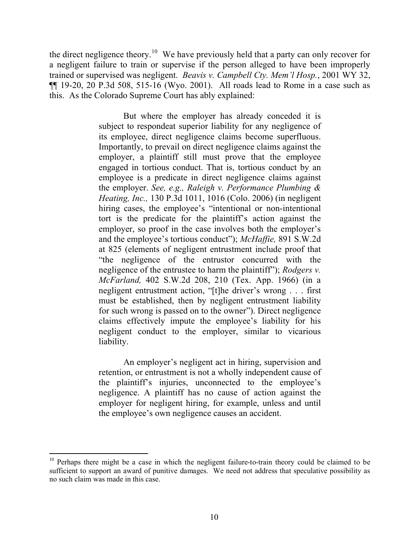the direct negligence theory.<sup>10</sup> We have previously held that a party can only recover for a negligent failure to train or supervise if the person alleged to have been improperly trained or supervised was negligent. *Beavis v. Campbell Cty. Mem'l Hosp.*, 2001 WY 32, ¶¶ 19-20, 20 P.3d 508, 515-16 (Wyo. 2001). All roads lead to Rome in a case such as this. As the Colorado Supreme Court has ably explained:

> But where the employer has already conceded it is subject to respondeat superior liability for any negligence of its employee, direct negligence claims become superfluous. Importantly, to prevail on direct negligence claims against the employer, a plaintiff still must prove that the employee engaged in tortious conduct. That is, tortious conduct by an employee is a predicate in direct negligence claims against the employer. *See, e.g., Raleigh v. Performance Plumbing & Heating, Inc.,* 130 P.3d 1011, 1016 (Colo. 2006) (in negligent hiring cases, the employee's "intentional or non-intentional tort is the predicate for the plaintiff's action against the employer, so proof in the case involves both the employer's and the employee's tortious conduct"); *McHaffie,* 891 S.W.2d at 825 (elements of negligent entrustment include proof that "the negligence of the entrustor concurred with the negligence of the entrustee to harm the plaintiff"); *Rodgers v. McFarland,* 402 S.W.2d 208, 210 (Tex. App. 1966) (in a negligent entrustment action, "[t]he driver's wrong . . . first must be established, then by negligent entrustment liability for such wrong is passed on to the owner"). Direct negligence claims effectively impute the employee's liability for his negligent conduct to the employer, similar to vicarious liability.

> An employer's negligent act in hiring, supervision and retention, or entrustment is not a wholly independent cause of the plaintiff's injuries, unconnected to the employee's negligence. A plaintiff has no cause of action against the employer for negligent hiring, for example, unless and until the employee's own negligence causes an accident.

 $\overline{a}$ 

 $10$  Perhaps there might be a case in which the negligent failure-to-train theory could be claimed to be sufficient to support an award of punitive damages. We need not address that speculative possibility as no such claim was made in this case.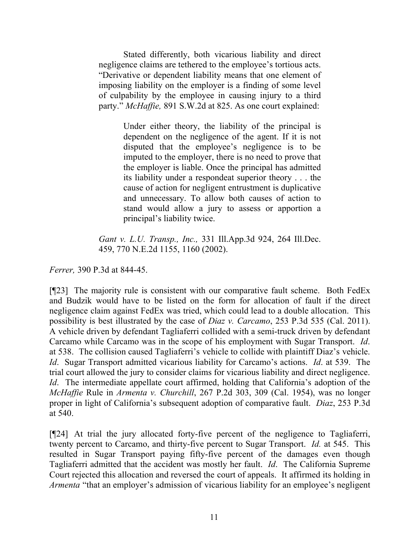Stated differently, both vicarious liability and direct negligence claims are tethered to the employee's tortious acts. "Derivative or dependent liability means that one element of imposing liability on the employer is a finding of some level of culpability by the employee in causing injury to a third party." *McHaffie,* 891 S.W.2d at 825. As one court explained:

> Under either theory, the liability of the principal is dependent on the negligence of the agent. If it is not disputed that the employee's negligence is to be imputed to the employer, there is no need to prove that the employer is liable. Once the principal has admitted its liability under a respondeat superior theory . . . the cause of action for negligent entrustment is duplicative and unnecessary. To allow both causes of action to stand would allow a jury to assess or apportion a principal's liability twice.

*Gant v. L.U. Transp., Inc.,* 331 Ill.App.3d 924, 264 Ill.Dec. 459, 770 N.E.2d 1155, 1160 (2002).

*Ferrer,* 390 P.3d at 844-45.

[¶23] The majority rule is consistent with our comparative fault scheme. Both FedEx and Budzik would have to be listed on the form for allocation of fault if the direct negligence claim against FedEx was tried, which could lead to a double allocation. This possibility is best illustrated by the case of *Diaz v. Carcamo*, 253 P.3d 535 (Cal. 2011). A vehicle driven by defendant Tagliaferri collided with a semi-truck driven by defendant Carcamo while Carcamo was in the scope of his employment with Sugar Transport. *Id*. at 538. The collision caused Tagliaferri's vehicle to collide with plaintiff Diaz's vehicle. *Id*. Sugar Transport admitted vicarious liability for Carcamo's actions. *Id*. at 539. The trial court allowed the jury to consider claims for vicarious liability and direct negligence. *Id*. The intermediate appellate court affirmed, holding that California's adoption of the *McHaffie* Rule in *Armenta v. Churchill*, 267 P.2d 303, 309 (Cal. 1954), was no longer proper in light of California's subsequent adoption of comparative fault. *Diaz*, 253 P.3d at 540.

[¶24] At trial the jury allocated forty-five percent of the negligence to Tagliaferri, twenty percent to Carcamo, and thirty-five percent to Sugar Transport. *Id.* at 545. This resulted in Sugar Transport paying fifty-five percent of the damages even though Tagliaferri admitted that the accident was mostly her fault. *Id*. The California Supreme Court rejected this allocation and reversed the court of appeals. It affirmed its holding in *Armenta* "that an employer's admission of vicarious liability for an employee's negligent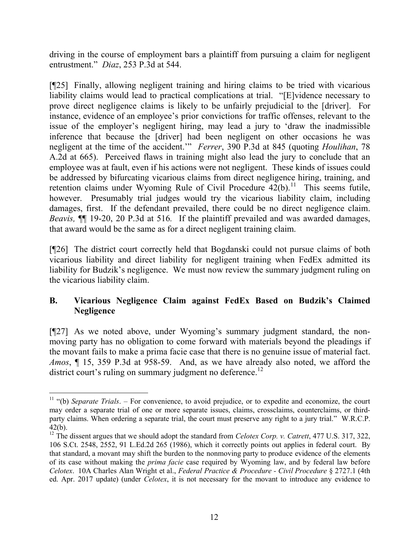driving in the course of employment bars a plaintiff from pursuing a claim for negligent entrustment." *Diaz*, 253 P.3d at 544.

[¶25] Finally, allowing negligent training and hiring claims to be tried with vicarious liability claims would lead to practical complications at trial. "[E]vidence necessary to prove direct negligence claims is likely to be unfairly prejudicial to the [driver]. For instance, evidence of an employee's prior convictions for traffic offenses, relevant to the issue of the employer's negligent hiring, may lead a jury to 'draw the inadmissible inference that because the [driver] had been negligent on other occasions he was negligent at the time of the accident.'" *Ferrer*, 390 P.3d at 845 (quoting *Houlihan*, 78 A.2d at 665). Perceived flaws in training might also lead the jury to conclude that an employee was at fault, even if his actions were not negligent. These kinds of issues could be addressed by bifurcating vicarious claims from direct negligence hiring, training, and retention claims under Wyoming Rule of Civil Procedure  $42(b)$ .<sup>11</sup> This seems futile, however. Presumably trial judges would try the vicarious liability claim, including damages, first. If the defendant prevailed, there could be no direct negligence claim. *Beavis,* ¶¶ 19-20, 20 P.3d at 516*.* If the plaintiff prevailed and was awarded damages, that award would be the same as for a direct negligent training claim.

[¶26] The district court correctly held that Bogdanski could not pursue claims of both vicarious liability and direct liability for negligent training when FedEx admitted its liability for Budzik's negligence. We must now review the summary judgment ruling on the vicarious liability claim.

# **B. Vicarious Negligence Claim against FedEx Based on Budzik's Claimed Negligence**

[¶27] As we noted above, under Wyoming's summary judgment standard, the nonmoving party has no obligation to come forward with materials beyond the pleadings if the movant fails to make a prima facie case that there is no genuine issue of material fact. *Amos*, ¶ 15, 359 P.3d at 958-59. And, as we have already also noted, we afford the district court's ruling on summary judgment no deference.<sup>12</sup>

<sup>11</sup> "(b) *Separate Trials*. – For convenience, to avoid prejudice, or to expedite and economize, the court may order a separate trial of one or more separate issues, claims, crossclaims, counterclaims, or thirdparty claims. When ordering a separate trial, the court must preserve any right to a jury trial." W.R.C.P. 42(b).

<sup>&</sup>lt;sup>12</sup> The dissent argues that we should adopt the standard from *Celotex Corp. v. Catrett*, 477 U.S. 317, 322, 106 S.Ct. 2548, 2552, 91 L.Ed.2d 265 (1986), which it correctly points out applies in federal court. By that standard, a movant may shift the burden to the nonmoving party to produce evidence of the elements of its case without making the *prima facie* case required by Wyoming law, and by federal law before *Celotex*. 10A Charles Alan Wright et al., *Federal Practice & Procedure - Civil Procedure* § 2727.1 (4th ed. Apr. 2017 update) (under *Celotex*, it is not necessary for the movant to introduce any evidence to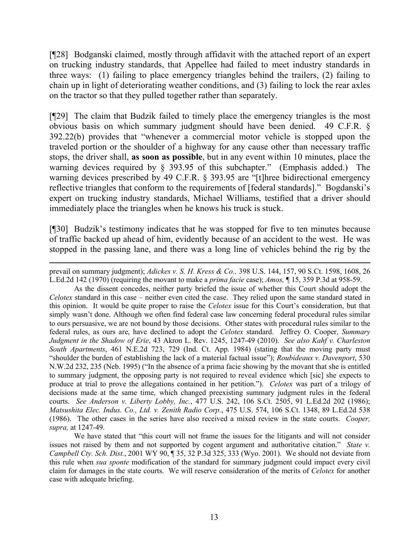[¶28] Bodganski claimed, mostly through affidavit with the attached report of an expert on trucking industry standards, that Appellee had failed to meet industry standards in three ways: (1) failing to place emergency triangles behind the trailers, (2) failing to chain up in light of deteriorating weather conditions, and (3) failing to lock the rear axles on the tractor so that they pulled together rather than separately.

[¶29] The claim that Budzik failed to timely place the emergency triangles is the most obvious basis on which summary judgment should have been denied. 49 C.F.R. § 392.22(b) provides that "whenever a commercial motor vehicle is stopped upon the traveled portion or the shoulder of a highway for any cause other than necessary traffic stops, the driver shall, **as soon as possible**, but in any event within 10 minutes, place the warning devices required by § 393.95 of this subchapter." (Emphasis added.) The warning devices prescribed by 49 C.F.R. § 393.95 are "[t]hree bidirectional emergency reflective triangles that conform to the requirements of [federal standards]." Bogdanski's expert on trucking industry standards, Michael Williams, testified that a driver should immediately place the triangles when he knows his truck is stuck.

[¶30] Budzik's testimony indicates that he was stopped for five to ten minutes because of traffic backed up ahead of him, evidently because of an accident to the west. He was stopped in the passing lane, and there was a long line of vehicles behind the rig by the

 $\overline{a}$ 

As the dissent concedes, neither party briefed the issue of whether this Court should adopt the *Celotex* standard in this case – neither even cited the case. They relied upon the same standard stated in this opinion. It would be quite proper to raise the *Celotex* issue for this Court's consideration, but that simply wasn't done. Although we often find federal case law concerning federal procedural rules similar to ours persuasive, we are not bound by those decisions. Other states with procedural rules similar to the federal rules, as ours are, have declined to adopt the *Celotex* standard. Jeffrey O. Cooper*, Summary Judgment in the Shadow of Erie*, 43 Akron L. Rev. 1245, 1247-49 (2010). *See also Kahf v. Charleston South Apartments*, 461 N.E.2d 723, 729 (Ind. Ct. App. 1984) (stating that the moving party must "shoulder the burden of establishing the lack of a material factual issue"); *Roubideaux v. Davenport*, 530 N.W.2d 232, 235 (Neb. 1995) ("In the absence of a prima facie showing by the movant that she is entitled to summary judgment, the opposing party is not required to reveal evidence which [sic] she expects to produce at trial to prove the allegations contained in her petition."). *Celotex* was part of a trilogy of decisions made at the same time, which changed preexisting summary judgment rules in the federal courts. *See Anderson v. Liberty Lobby, Inc.*, 477 U.S. 242, 106 S.Ct. 2505, 91 L.Ed.2d 202 (1986); *Matsushita Elec. Indus. Co., Ltd. v. Zenith Radio Corp*., 475 U.S. 574, 106 S.Ct. 1348, 89 L.Ed.2d 538 (1986). The other cases in the series have also received a mixed review in the state courts. *Cooper, supra,* at 1247-49.

We have stated that "this court will not frame the issues for the litigants and will not consider issues not raised by them and not supported by cogent argument and authoritative citation." *State v. Campbell Cty. Sch. Dist.*, 2001 WY 90, ¶ 35, 32 P.3d 325, 333 (Wyo. 2001). We should not deviate from this rule when *sua sponte* modification of the standard for summary judgment could impact every civil claim for damages in the state courts. We will reserve consideration of the merits of *Celotex* for another case with adequate briefing.

prevail on summary judgment); *Adickes v. S. H. Kress & Co.,* 398 U.S. 144, 157, 90 S.Ct. 1598, 1608, 26 L.Ed.2d 142 (1970) (requiring the movant to make a *prima facie* case); *Amos,* ¶ 15, 359 P.3d at 958-59.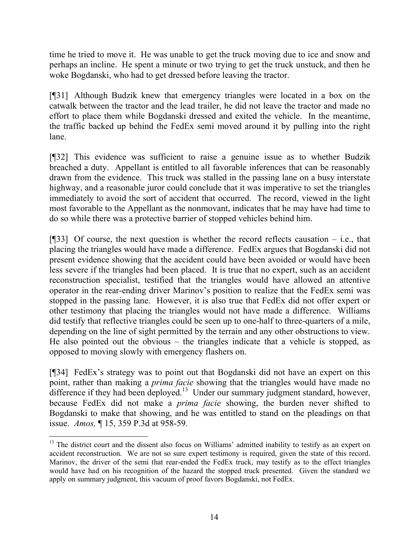time he tried to move it. He was unable to get the truck moving due to ice and snow and perhaps an incline. He spent a minute or two trying to get the truck unstuck, and then he woke Bogdanski, who had to get dressed before leaving the tractor.

[¶31] Although Budzik knew that emergency triangles were located in a box on the catwalk between the tractor and the lead trailer, he did not leave the tractor and made no effort to place them while Bogdanski dressed and exited the vehicle. In the meantime, the traffic backed up behind the FedEx semi moved around it by pulling into the right lane.

[¶32] This evidence was sufficient to raise a genuine issue as to whether Budzik breached a duty. Appellant is entitled to all favorable inferences that can be reasonably drawn from the evidence. This truck was stalled in the passing lane on a busy interstate highway, and a reasonable juror could conclude that it was imperative to set the triangles immediately to avoid the sort of accident that occurred. The record, viewed in the light most favorable to the Appellant as the nonmovant, indicates that he may have had time to do so while there was a protective barrier of stopped vehicles behind him.

[¶33] Of course, the next question is whether the record reflects causation – i.e., that placing the triangles would have made a difference. FedEx argues that Bogdanski did not present evidence showing that the accident could have been avoided or would have been less severe if the triangles had been placed. It is true that no expert, such as an accident reconstruction specialist, testified that the triangles would have allowed an attentive operator in the rear-ending driver Marinov's position to realize that the FedEx semi was stopped in the passing lane. However, it is also true that FedEx did not offer expert or other testimony that placing the triangles would not have made a difference. Williams did testify that reflective triangles could be seen up to one-half to three-quarters of a mile, depending on the line of sight permitted by the terrain and any other obstructions to view. He also pointed out the obvious – the triangles indicate that a vehicle is stopped, as opposed to moving slowly with emergency flashers on.

[¶34] FedEx's strategy was to point out that Bogdanski did not have an expert on this point, rather than making a *prima facie* showing that the triangles would have made no difference if they had been deployed.<sup>13</sup> Under our summary judgment standard, however, because FedEx did not make a *prima facie* showing, the burden never shifted to Bogdanski to make that showing, and he was entitled to stand on the pleadings on that issue. *Amos,* ¶ 15, 359 P.3d at 958-59*.* 

 $13$  The district court and the dissent also focus on Williams' admitted inability to testify as an expert on accident reconstruction. We are not so sure expert testimony is required, given the state of this record. Marinov, the driver of the semi that rear-ended the FedEx truck, may testify as to the effect triangles would have had on his recognition of the hazard the stopped truck presented. Given the standard we apply on summary judgment, this vacuum of proof favors Bogdanski, not FedEx.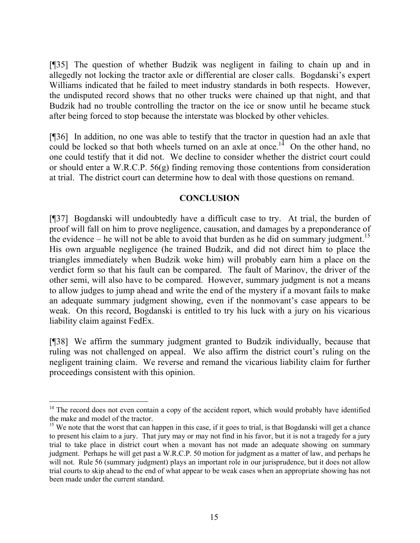[¶35] The question of whether Budzik was negligent in failing to chain up and in allegedly not locking the tractor axle or differential are closer calls. Bogdanski's expert Williams indicated that he failed to meet industry standards in both respects. However, the undisputed record shows that no other trucks were chained up that night, and that Budzik had no trouble controlling the tractor on the ice or snow until he became stuck after being forced to stop because the interstate was blocked by other vehicles.

[¶36] In addition, no one was able to testify that the tractor in question had an axle that could be locked so that both wheels turned on an axle at once.<sup>14</sup> On the other hand, no one could testify that it did not. We decline to consider whether the district court could or should enter a W.R.C.P. 56(g) finding removing those contentions from consideration at trial. The district court can determine how to deal with those questions on remand.

### **CONCLUSION**

[¶37] Bogdanski will undoubtedly have a difficult case to try. At trial, the burden of proof will fall on him to prove negligence, causation, and damages by a preponderance of the evidence – he will not be able to avoid that burden as he did on summary judgment.<sup>15</sup> His own arguable negligence (he trained Budzik, and did not direct him to place the triangles immediately when Budzik woke him) will probably earn him a place on the verdict form so that his fault can be compared. The fault of Marinov, the driver of the other semi, will also have to be compared. However, summary judgment is not a means to allow judges to jump ahead and write the end of the mystery if a movant fails to make an adequate summary judgment showing, even if the nonmovant's case appears to be weak. On this record, Bogdanski is entitled to try his luck with a jury on his vicarious liability claim against FedEx.

[¶38] We affirm the summary judgment granted to Budzik individually, because that ruling was not challenged on appeal. We also affirm the district court's ruling on the negligent training claim. We reverse and remand the vicarious liability claim for further proceedings consistent with this opinion.

<sup>&</sup>lt;sup>14</sup> The record does not even contain a copy of the accident report, which would probably have identified the make and model of the tractor.

 $15$  We note that the worst that can happen in this case, if it goes to trial, is that Bogdanski will get a chance to present his claim to a jury. That jury may or may not find in his favor, but it is not a tragedy for a jury trial to take place in district court when a movant has not made an adequate showing on summary judgment. Perhaps he will get past a W.R.C.P. 50 motion for judgment as a matter of law, and perhaps he will not. Rule 56 (summary judgment) plays an important role in our jurisprudence, but it does not allow trial courts to skip ahead to the end of what appear to be weak cases when an appropriate showing has not been made under the current standard.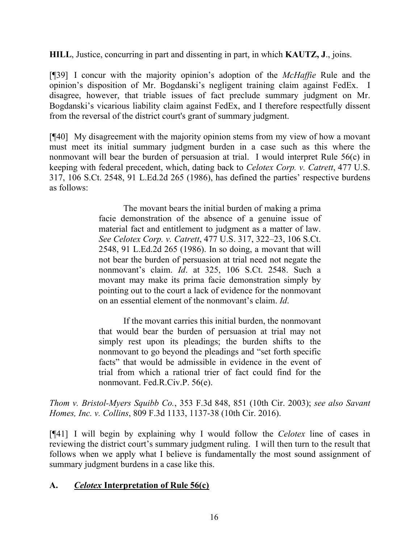**HILL**, Justice, concurring in part and dissenting in part, in which **KAUTZ, J**., joins.

[¶39] I concur with the majority opinion's adoption of the *McHaffie* Rule and the opinion's disposition of Mr. Bogdanski's negligent training claim against FedEx. I disagree, however, that triable issues of fact preclude summary judgment on Mr. Bogdanski's vicarious liability claim against FedEx, and I therefore respectfully dissent from the reversal of the district court's grant of summary judgment.

[¶40] My disagreement with the majority opinion stems from my view of how a movant must meet its initial summary judgment burden in a case such as this where the nonmovant will bear the burden of persuasion at trial. I would interpret Rule 56(c) in keeping with federal precedent, which, dating back to *Celotex Corp. v. Catrett*, 477 U.S. 317, 106 S.Ct. 2548, 91 L.Ed.2d 265 (1986), has defined the parties' respective burdens as follows:

> The movant bears the initial burden of making a prima facie demonstration of the absence of a genuine issue of material fact and entitlement to judgment as a matter of law. *See Celotex Corp. v. Catrett*, 477 U.S. 317, 322–23, 106 S.Ct. 2548, 91 L.Ed.2d 265 (1986). In so doing, a movant that will not bear the burden of persuasion at trial need not negate the nonmovant's claim. *Id*. at 325, 106 S.Ct. 2548. Such a movant may make its prima facie demonstration simply by pointing out to the court a lack of evidence for the nonmovant on an essential element of the nonmovant's claim. *Id*.

> If the movant carries this initial burden, the nonmovant that would bear the burden of persuasion at trial may not simply rest upon its pleadings; the burden shifts to the nonmovant to go beyond the pleadings and "set forth specific facts" that would be admissible in evidence in the event of trial from which a rational trier of fact could find for the nonmovant. Fed.R.Civ.P. 56(e).

*Thom v. Bristol-Myers Squibb Co.*, 353 F.3d 848, 851 (10th Cir. 2003); *see also Savant Homes, Inc. v. Collins*, 809 F.3d 1133, 1137-38 (10th Cir. 2016).

[¶41] I will begin by explaining why I would follow the *Celotex* line of cases in reviewing the district court's summary judgment ruling. I will then turn to the result that follows when we apply what I believe is fundamentally the most sound assignment of summary judgment burdens in a case like this.

# **A.** *Celotex* **Interpretation of Rule 56(c)**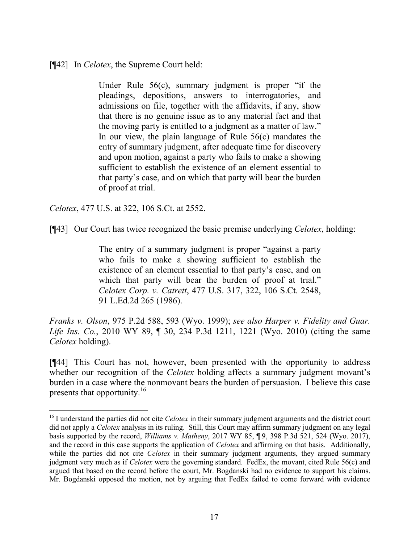[¶42] In *Celotex*, the Supreme Court held:

Under Rule 56(c), summary judgment is proper "if the pleadings, depositions, answers to interrogatories, and admissions on file, together with the affidavits, if any, show that there is no genuine issue as to any material fact and that the moving party is entitled to a judgment as a matter of law." In our view, the plain language of Rule  $56(c)$  mandates the entry of summary judgment, after adequate time for discovery and upon motion, against a party who fails to make a showing sufficient to establish the existence of an element essential to that party's case, and on which that party will bear the burden of proof at trial.

*Celotex*, 477 U.S. at 322, 106 S.Ct. at 2552.

l

[¶43] Our Court has twice recognized the basic premise underlying *Celotex*, holding:

The entry of a summary judgment is proper "against a party who fails to make a showing sufficient to establish the existence of an element essential to that party's case, and on which that party will bear the burden of proof at trial." *Celotex Corp. v. Catrett*, 477 U.S. 317, 322, 106 S.Ct. 2548, 91 L.Ed.2d 265 (1986).

*Franks v. Olson*, 975 P.2d 588, 593 (Wyo. 1999); *see also Harper v. Fidelity and Guar. Life Ins. Co.*, 2010 WY 89, ¶ 30, 234 P.3d 1211, 1221 (Wyo. 2010) (citing the same *Celotex* holding).

[¶44] This Court has not, however, been presented with the opportunity to address whether our recognition of the *Celotex* holding affects a summary judgment movant's burden in a case where the nonmovant bears the burden of persuasion. I believe this case presents that opportunity.<sup>16</sup>

<sup>&</sup>lt;sup>16</sup> I understand the parties did not cite *Celotex* in their summary judgment arguments and the district court did not apply a *Celotex* analysis in its ruling. Still, this Court may affirm summary judgment on any legal basis supported by the record, *Williams v. Matheny*, 2017 WY 85, ¶ 9, 398 P.3d 521, 524 (Wyo. 2017), and the record in this case supports the application of *Celotex* and affirming on that basis. Additionally, while the parties did not cite *Celotex* in their summary judgment arguments, they argued summary judgment very much as if *Celotex* were the governing standard. FedEx, the movant, cited Rule 56(c) and argued that based on the record before the court, Mr. Bogdanski had no evidence to support his claims. Mr. Bogdanski opposed the motion, not by arguing that FedEx failed to come forward with evidence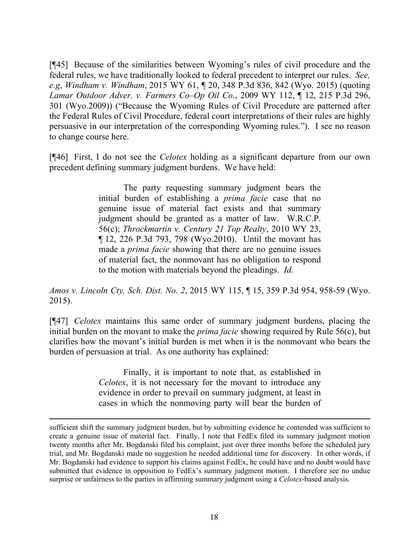[¶45] Because of the similarities between Wyoming's rules of civil procedure and the federal rules, we have traditionally looked to federal precedent to interpret our rules. *See, e.g*, *Windham v. Windham*, 2015 WY 61, ¶ 20, 348 P.3d 836, 842 (Wyo. 2015) (quoting *Lamar Outdoor Adver. v. Farmers Co–Op Oil Co.*, 2009 WY 112, ¶ 12, 215 P.3d 296, 301 (Wyo.2009)) ("Because the Wyoming Rules of Civil Procedure are patterned after the Federal Rules of Civil Procedure, federal court interpretations of their rules are highly persuasive in our interpretation of the corresponding Wyoming rules."). I see no reason to change course here.

[¶46] First, I do not see the *Celotex* holding as a significant departure from our own precedent defining summary judgment burdens. We have held:

> The party requesting summary judgment bears the initial burden of establishing a *prima facie* case that no genuine issue of material fact exists and that summary judgment should be granted as a matter of law. W.R.C.P. 56(c); *Throckmartin v. Century 21 Top Realty*, 2010 WY 23, ¶ 12, 226 P.3d 793, 798 (Wyo.2010). Until the movant has made a *prima facie* showing that there are no genuine issues of material fact, the nonmovant has no obligation to respond to the motion with materials beyond the pleadings. *Id.*

*Amos v. Lincoln Cty. Sch. Dist. No. 2*, 2015 WY 115, ¶ 15, 359 P.3d 954, 958-59 (Wyo. 2015).

[¶47] *Celotex* maintains this same order of summary judgment burdens, placing the initial burden on the movant to make the *prima facie* showing required by Rule 56(c), but clarifies how the movant's initial burden is met when it is the nonmovant who bears the burden of persuasion at trial. As one authority has explained:

> Finally, it is important to note that, as established in *Celotex*, it is not necessary for the movant to introduce any evidence in order to prevail on summary judgment, at least in cases in which the nonmoving party will bear the burden of

sufficient shift the summary judgment burden, but by submitting evidence he contended was sufficient to create a genuine issue of material fact. Finally, I note that FedEx filed its summary judgment motion twenty months after Mr. Bogdanski filed his complaint, just over three months before the scheduled jury trial, and Mr. Bogdanski made no suggestion he needed additional time for discovery. In other words, if Mr. Bogdanski had evidence to support his claims against FedEx, he could have and no doubt would have submitted that evidence in opposition to FedEx's summary judgment motion. I therefore see no undue surprise or unfairness to the parties in affirming summary judgment using a *Celotex*-based analysis.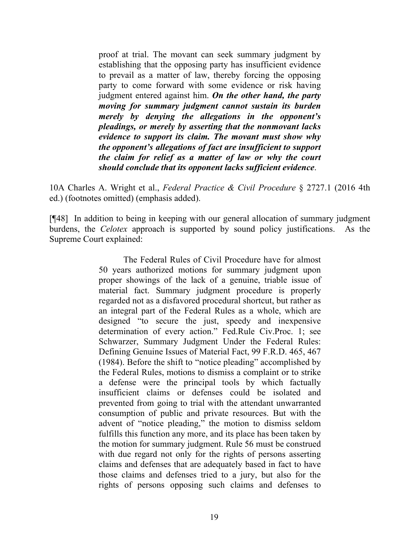proof at trial. The movant can seek summary judgment by establishing that the opposing party has insufficient evidence to prevail as a matter of law, thereby forcing the opposing party to come forward with some evidence or risk having judgment entered against him. *On the other hand, the party moving for summary judgment cannot sustain its burden merely by denying the allegations in the opponent's pleadings, or merely by asserting that the nonmovant lacks evidence to support its claim. The movant must show why the opponent's allegations of fact are insufficient to support the claim for relief as a matter of law or why the court should conclude that its opponent lacks sufficient evidence*.

10A Charles A. Wright et al., *Federal Practice & Civil Procedure* § 2727.1 (2016 4th ed.) (footnotes omitted) (emphasis added).

[¶48] In addition to being in keeping with our general allocation of summary judgment burdens, the *Celotex* approach is supported by sound policy justifications. As the Supreme Court explained:

> The Federal Rules of Civil Procedure have for almost 50 years authorized motions for summary judgment upon proper showings of the lack of a genuine, triable issue of material fact. Summary judgment procedure is properly regarded not as a disfavored procedural shortcut, but rather as an integral part of the Federal Rules as a whole, which are designed "to secure the just, speedy and inexpensive determination of every action." Fed.Rule Civ.Proc. 1; see Schwarzer, Summary Judgment Under the Federal Rules: Defining Genuine Issues of Material Fact, 99 F.R.D. 465, 467 (1984). Before the shift to "notice pleading" accomplished by the Federal Rules, motions to dismiss a complaint or to strike a defense were the principal tools by which factually insufficient claims or defenses could be isolated and prevented from going to trial with the attendant unwarranted consumption of public and private resources. But with the advent of "notice pleading," the motion to dismiss seldom fulfills this function any more, and its place has been taken by the motion for summary judgment. Rule 56 must be construed with due regard not only for the rights of persons asserting claims and defenses that are adequately based in fact to have those claims and defenses tried to a jury, but also for the rights of persons opposing such claims and defenses to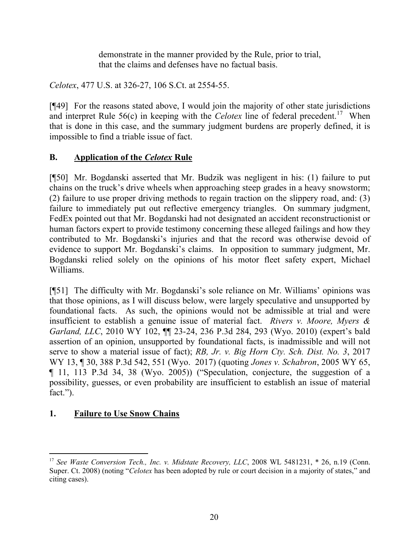demonstrate in the manner provided by the Rule, prior to trial, that the claims and defenses have no factual basis.

*Celotex*, 477 U.S. at 326-27, 106 S.Ct. at 2554-55.

[¶49] For the reasons stated above, I would join the majority of other state jurisdictions and interpret Rule  $56(c)$  in keeping with the *Celotex* line of federal precedent.<sup>17</sup> When that is done in this case, and the summary judgment burdens are properly defined, it is impossible to find a triable issue of fact.

# **B. Application of the** *Celotex* **Rule**

[¶50] Mr. Bogdanski asserted that Mr. Budzik was negligent in his: (1) failure to put chains on the truck's drive wheels when approaching steep grades in a heavy snowstorm; (2) failure to use proper driving methods to regain traction on the slippery road, and: (3) failure to immediately put out reflective emergency triangles. On summary judgment, FedEx pointed out that Mr. Bogdanski had not designated an accident reconstructionist or human factors expert to provide testimony concerning these alleged failings and how they contributed to Mr. Bogdanski's injuries and that the record was otherwise devoid of evidence to support Mr. Bogdanski's claims. In opposition to summary judgment, Mr. Bogdanski relied solely on the opinions of his motor fleet safety expert, Michael Williams.

[¶51] The difficulty with Mr. Bogdanski's sole reliance on Mr. Williams' opinions was that those opinions, as I will discuss below, were largely speculative and unsupported by foundational facts. As such, the opinions would not be admissible at trial and were insufficient to establish a genuine issue of material fact. *Rivers v. Moore, Myers & Garland, LLC*, 2010 WY 102, ¶¶ 23-24, 236 P.3d 284, 293 (Wyo. 2010) (expert's bald assertion of an opinion, unsupported by foundational facts, is inadmissible and will not serve to show a material issue of fact); *RB, Jr. v. Big Horn Cty. Sch. Dist. No. 3*, 2017 WY 13, ¶ 30, 388 P.3d 542, 551 (Wyo. 2017) (quoting *Jones v. Schabron*, 2005 WY 65, ¶ 11, 113 P.3d 34, 38 (Wyo. 2005)) ("Speculation, conjecture, the suggestion of a possibility, guesses, or even probability are insufficient to establish an issue of material fact.").

# **1. Failure to Use Snow Chains**

 $\overline{a}$ <sup>17</sup> See Waste Conversion Tech., Inc. v. Midstate Recovery, LLC, 2008 WL 5481231, \* 26, n.19 (Conn. Super. Ct. 2008) (noting "*Celotex* has been adopted by rule or court decision in a majority of states," and citing cases).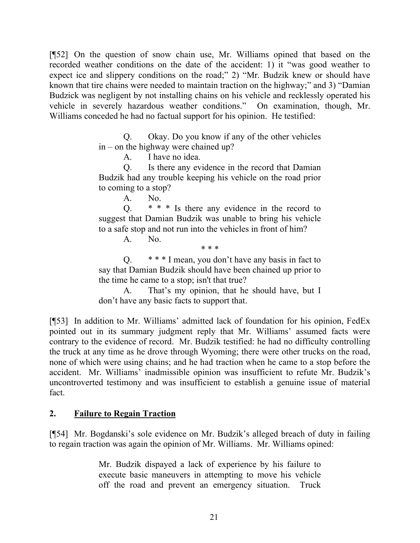[¶52] On the question of snow chain use, Mr. Williams opined that based on the recorded weather conditions on the date of the accident: 1) it "was good weather to expect ice and slippery conditions on the road;" 2) "Mr. Budzik knew or should have known that tire chains were needed to maintain traction on the highway;" and 3) "Damian Budzick was negligent by not installing chains on his vehicle and recklessly operated his vehicle in severely hazardous weather conditions." On examination, though, Mr. Williams conceded he had no factual support for his opinion. He testified:

> Q. Okay. Do you know if any of the other vehicles in – on the highway were chained up?

> > A. I have no idea.

Q. Is there any evidence in the record that Damian Budzik had any trouble keeping his vehicle on the road prior to coming to a stop?

A. No.

Q. \* \* \* Is there any evidence in the record to suggest that Damian Budzik was unable to bring his vehicle to a safe stop and not run into the vehicles in front of him?

A. No.

\* \* \*

Q.  $* * * I$  mean, you don't have any basis in fact to say that Damian Budzik should have been chained up prior to the time he came to a stop; isn't that true?

A. That's my opinion, that he should have, but I don't have any basic facts to support that.

[¶53] In addition to Mr. Williams' admitted lack of foundation for his opinion, FedEx pointed out in its summary judgment reply that Mr. Williams' assumed facts were contrary to the evidence of record. Mr. Budzik testified: he had no difficulty controlling the truck at any time as he drove through Wyoming; there were other trucks on the road, none of which were using chains; and he had traction when he came to a stop before the accident. Mr. Williams' inadmissible opinion was insufficient to refute Mr. Budzik's uncontroverted testimony and was insufficient to establish a genuine issue of material fact.

### **2. Failure to Regain Traction**

[¶54] Mr. Bogdanski's sole evidence on Mr. Budzik's alleged breach of duty in failing to regain traction was again the opinion of Mr. Williams. Mr. Williams opined:

> Mr. Budzik dispayed a lack of experience by his failure to execute basic maneuvers in attempting to move his vehicle off the road and prevent an emergency situation. Truck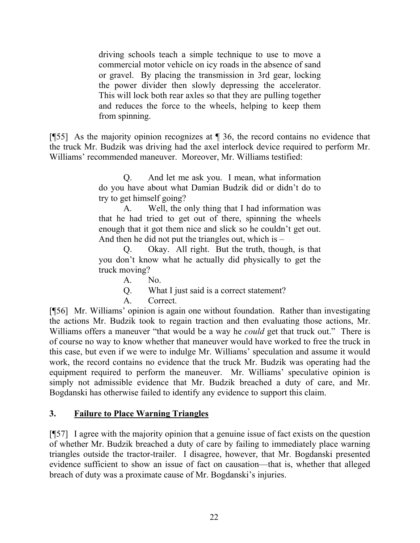driving schools teach a simple technique to use to move a commercial motor vehicle on icy roads in the absence of sand or gravel. By placing the transmission in 3rd gear, locking the power divider then slowly depressing the accelerator. This will lock both rear axles so that they are pulling together and reduces the force to the wheels, helping to keep them from spinning.

[¶55] As the majority opinion recognizes at ¶ 36, the record contains no evidence that the truck Mr. Budzik was driving had the axel interlock device required to perform Mr. Williams' recommended maneuver. Moreover, Mr. Williams testified:

> Q. And let me ask you. I mean, what information do you have about what Damian Budzik did or didn't do to try to get himself going?

> A. Well, the only thing that I had information was that he had tried to get out of there, spinning the wheels enough that it got them nice and slick so he couldn't get out. And then he did not put the triangles out, which is –

> Q. Okay. All right. But the truth, though, is that you don't know what he actually did physically to get the truck moving?

> > A. No.

Q. What I just said is a correct statement?

A. Correct.

[¶56] Mr. Williams' opinion is again one without foundation. Rather than investigating the actions Mr. Budzik took to regain traction and then evaluating those actions, Mr. Williams offers a maneuver "that would be a way he *could* get that truck out." There is of course no way to know whether that maneuver would have worked to free the truck in this case, but even if we were to indulge Mr. Williams' speculation and assume it would work, the record contains no evidence that the truck Mr. Budzik was operating had the equipment required to perform the maneuver. Mr. Williams' speculative opinion is simply not admissible evidence that Mr. Budzik breached a duty of care, and Mr. Bogdanski has otherwise failed to identify any evidence to support this claim.

### **3. Failure to Place Warning Triangles**

[¶57] I agree with the majority opinion that a genuine issue of fact exists on the question of whether Mr. Budzik breached a duty of care by failing to immediately place warning triangles outside the tractor-trailer. I disagree, however, that Mr. Bogdanski presented evidence sufficient to show an issue of fact on causation—that is, whether that alleged breach of duty was a proximate cause of Mr. Bogdanski's injuries.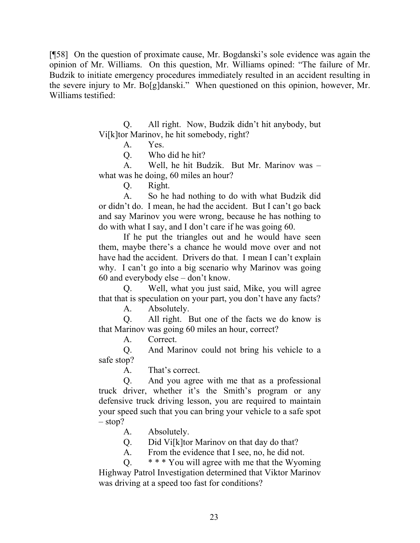[¶58] On the question of proximate cause, Mr. Bogdanski's sole evidence was again the opinion of Mr. Williams. On this question, Mr. Williams opined: "The failure of Mr. Budzik to initiate emergency procedures immediately resulted in an accident resulting in the severe injury to Mr. Bo[g]danski." When questioned on this opinion, however, Mr. Williams testified:

> Q. All right. Now, Budzik didn't hit anybody, but Vi[k]tor Marinov, he hit somebody, right?

A. Yes.

Q. Who did he hit?

A. Well, he hit Budzik. But Mr. Marinov was – what was he doing, 60 miles an hour?

Q. Right.

A. So he had nothing to do with what Budzik did or didn't do. I mean, he had the accident. But I can't go back and say Marinov you were wrong, because he has nothing to do with what I say, and I don't care if he was going 60.

If he put the triangles out and he would have seen them, maybe there's a chance he would move over and not have had the accident. Drivers do that. I mean I can't explain why. I can't go into a big scenario why Marinov was going 60 and everybody else – don't know.

Q. Well, what you just said, Mike, you will agree that that is speculation on your part, you don't have any facts?

A. Absolutely.

Q. All right. But one of the facts we do know is that Marinov was going 60 miles an hour, correct?

A. Correct.

Q. And Marinov could not bring his vehicle to a safe stop?

A. That's correct.

Q. And you agree with me that as a professional truck driver, whether it's the Smith's program or any defensive truck driving lesson, you are required to maintain your speed such that you can bring your vehicle to a safe spot  $-$  stop?

A. Absolutely.

Q. Did Vi[k]tor Marinov on that day do that?

A. From the evidence that I see, no, he did not.

Q. \* \* \* You will agree with me that the Wyoming Highway Patrol Investigation determined that Viktor Marinov was driving at a speed too fast for conditions?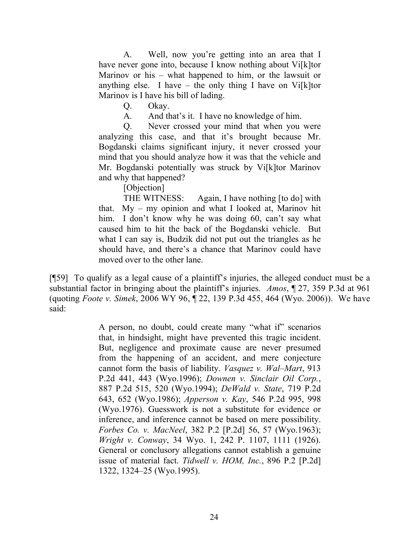A. Well, now you're getting into an area that I have never gone into, because I know nothing about Vi[k]tor Marinov or his – what happened to him, or the lawsuit or anything else. I have – the only thing I have on Vi $[k]$ tor Marinov is I have his bill of lading.

Q. Okay.

A. And that's it. I have no knowledge of him.

Q. Never crossed your mind that when you were analyzing this case, and that it's brought because Mr. Bogdanski claims significant injury, it never crossed your mind that you should analyze how it was that the vehicle and Mr. Bogdanski potentially was struck by Vi[k]tor Marinov and why that happened?

[Objection]

THE WITNESS: Again, I have nothing [to do] with that. My – my opinion and what I looked at, Marinov hit him. I don't know why he was doing 60, can't say what caused him to hit the back of the Bogdanski vehicle. But what I can say is, Budzik did not put out the triangles as he should have, and there's a chance that Marinov could have moved over to the other lane.

[¶59] To qualify as a legal cause of a plaintiff's injuries, the alleged conduct must be a substantial factor in bringing about the plaintiff's injuries. *Amos*, ¶ 27, 359 P.3d at 961 (quoting *Foote v. Simek*, 2006 WY 96, ¶ 22, 139 P.3d 455, 464 (Wyo. 2006)). We have said:

> A person, no doubt, could create many "what if" scenarios that, in hindsight, might have prevented this tragic incident. But, negligence and proximate cause are never presumed from the happening of an accident, and mere conjecture cannot form the basis of liability. *Vasquez v. Wal–Mart*, 913 P.2d 441, 443 (Wyo.1996); *Downen v. Sinclair Oil Corp.*, 887 P.2d 515, 520 (Wyo.1994); *DeWald v. State*, 719 P.2d 643, 652 (Wyo.1986); *Apperson v. Kay*, 546 P.2d 995, 998 (Wyo.1976). Guesswork is not a substitute for evidence or inference, and inference cannot be based on mere possibility. *Forbes Co. v. MacNeel*, 382 P.2 [P.2d] 56, 57 (Wyo.1963); *Wright v. Conway*, 34 Wyo. 1, 242 P. 1107, 1111 (1926). General or conclusory allegations cannot establish a genuine issue of material fact. *Tidwell v. HOM, Inc.*, 896 P.2 [P.2d] 1322, 1324–25 (Wyo.1995).